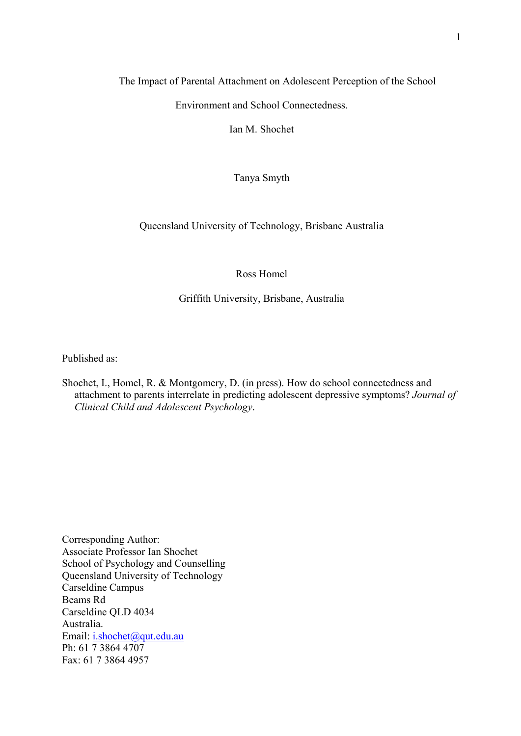## The Impact of Parental Attachment on Adolescent Perception of the School

Environment and School Connectedness.

Ian M. Shochet

Tanya Smyth

# Queensland University of Technology, Brisbane Australia

## Ross Homel

## Griffith University, Brisbane, Australia

Published as:

Shochet, I., Homel, R. & Montgomery, D. (in press). How do school connectedness and attachment to parents interrelate in predicting adolescent depressive symptoms? *Journal of Clinical Child and Adolescent Psychology*.

Corresponding Author: Associate Professor Ian Shochet School of Psychology and Counselling Queensland University of Technology Carseldine Campus Beams Rd Carseldine QLD 4034 Australia. Email: [i.shochet@qut.edu.au](mailto:I.Shochet@qut.edu.au) Ph: 61 7 3864 4707 Fax: 61 7 3864 4957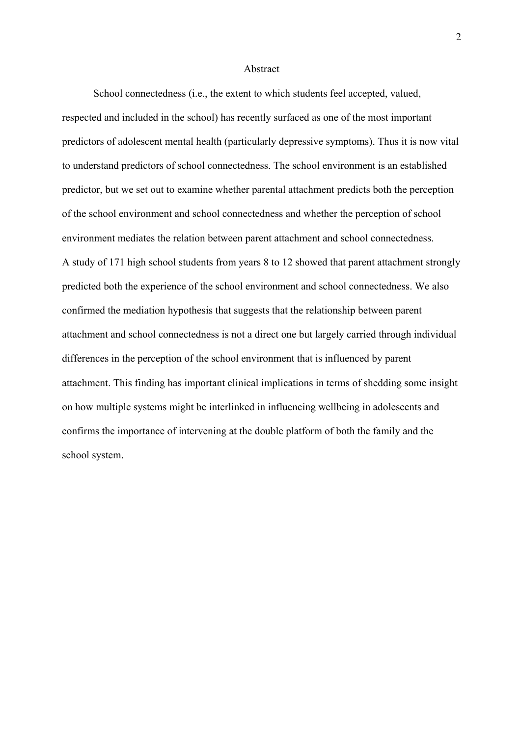#### Abstract

School connectedness (i.e., the extent to which students feel accepted, valued, respected and included in the school) has recently surfaced as one of the most important predictors of adolescent mental health (particularly depressive symptoms). Thus it is now vital to understand predictors of school connectedness. The school environment is an established predictor, but we set out to examine whether parental attachment predicts both the perception of the school environment and school connectedness and whether the perception of school environment mediates the relation between parent attachment and school connectedness. A study of 171 high school students from years 8 to 12 showed that parent attachment strongly predicted both the experience of the school environment and school connectedness. We also confirmed the mediation hypothesis that suggests that the relationship between parent attachment and school connectedness is not a direct one but largely carried through individual differences in the perception of the school environment that is influenced by parent attachment. This finding has important clinical implications in terms of shedding some insight on how multiple systems might be interlinked in influencing wellbeing in adolescents and confirms the importance of intervening at the double platform of both the family and the school system.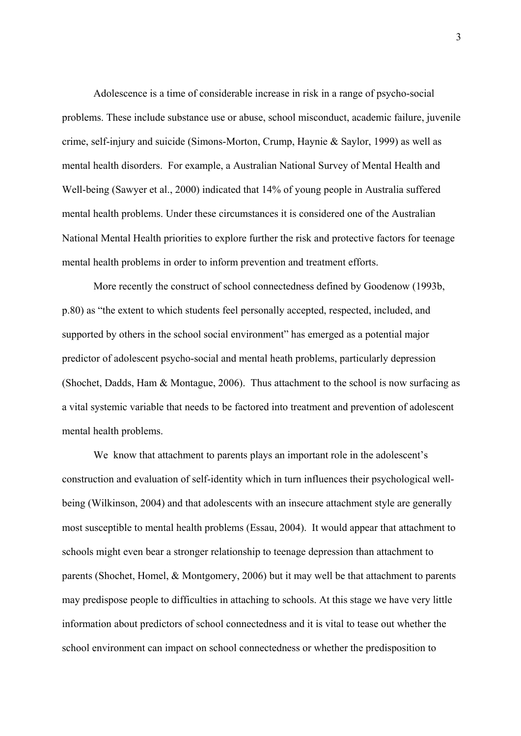Adolescence is a time of considerable increase in risk in a range of psycho-social problems. These include substance use or abuse, school misconduct, academic failure, juvenile crime, self-injury and suicide (Simons-Morton, Crump, Haynie & Saylor, 1999) as well as mental health disorders. For example, a Australian National Survey of Mental Health and Well-being (Sawyer et al., 2000) indicated that 14% of young people in Australia suffered mental health problems. Under these circumstances it is considered one of the Australian National Mental Health priorities to explore further the risk and protective factors for teenage mental health problems in order to inform prevention and treatment efforts.

More recently the construct of school connectedness defined by Goodenow (1993b, p.80) as "the extent to which students feel personally accepted, respected, included, and supported by others in the school social environment" has emerged as a potential major predictor of adolescent psycho-social and mental heath problems, particularly depression (Shochet, Dadds, Ham & Montague, 2006). Thus attachment to the school is now surfacing as a vital systemic variable that needs to be factored into treatment and prevention of adolescent mental health problems.

We know that attachment to parents plays an important role in the adolescent's construction and evaluation of self-identity which in turn influences their psychological wellbeing (Wilkinson, 2004) and that adolescents with an insecure attachment style are generally most susceptible to mental health problems (Essau, 2004). It would appear that attachment to schools might even bear a stronger relationship to teenage depression than attachment to parents (Shochet, Homel, & Montgomery, 2006) but it may well be that attachment to parents may predispose people to difficulties in attaching to schools. At this stage we have very little information about predictors of school connectedness and it is vital to tease out whether the school environment can impact on school connectedness or whether the predisposition to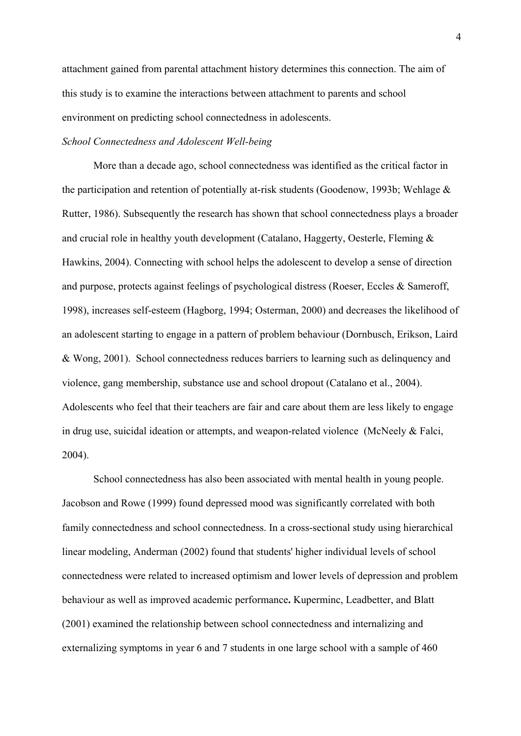attachment gained from parental attachment history determines this connection. The aim of this study is to examine the interactions between attachment to parents and school environment on predicting school connectedness in adolescents.

### *School Connectedness and Adolescent Well-being*

More than a decade ago, school connectedness was identified as the critical factor in the participation and retention of potentially at-risk students (Goodenow, 1993b; Wehlage & Rutter, 1986). Subsequently the research has shown that school connectedness plays a broader and crucial role in healthy youth development (Catalano, Haggerty, Oesterle, Fleming & Hawkins, 2004). Connecting with school helps the adolescent to develop a sense of direction and purpose, protects against feelings of psychological distress (Roeser, Eccles & Sameroff, 1998), increases self-esteem (Hagborg, 1994; Osterman, 2000) and decreases the likelihood of an adolescent starting to engage in a pattern of problem behaviour (Dornbusch, Erikson, Laird & Wong, 2001). School connectedness reduces barriers to learning such as delinquency and violence, gang membership, substance use and school dropout (Catalano et al., 2004). Adolescents who feel that their teachers are fair and care about them are less likely to engage in drug use, suicidal ideation or attempts, and weapon-related violence (McNeely & Falci, 2004).

School connectedness has also been associated with mental health in young people. Jacobson and Rowe (1999) found depressed mood was significantly correlated with both family connectedness and school connectedness. In a cross-sectional study using hierarchical linear modeling, Anderman (2002) found that students' higher individual levels of school connectedness were related to increased optimism and lower levels of depression and problem behaviour as well as improved academic performance**.** Kuperminc, Leadbetter, and Blatt (2001) examined the relationship between school connectedness and internalizing and externalizing symptoms in year 6 and 7 students in one large school with a sample of 460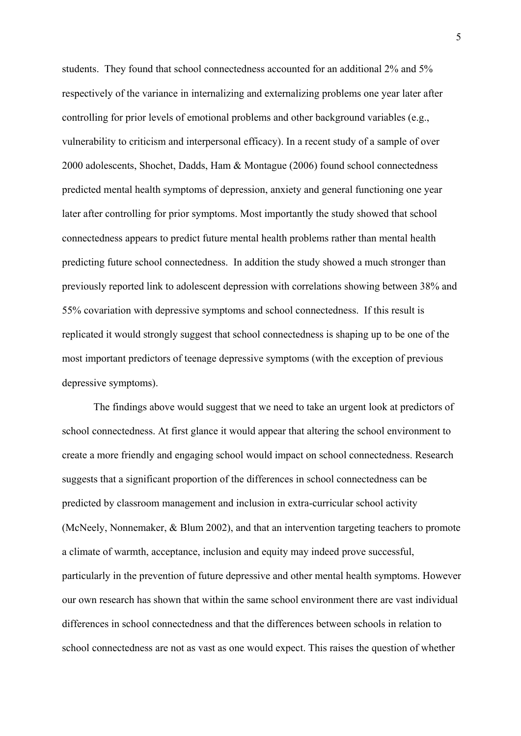students. They found that school connectedness accounted for an additional 2% and 5% respectively of the variance in internalizing and externalizing problems one year later after controlling for prior levels of emotional problems and other background variables (e.g., vulnerability to criticism and interpersonal efficacy). In a recent study of a sample of over 2000 adolescents, Shochet, Dadds, Ham & Montague (2006) found school connectedness predicted mental health symptoms of depression, anxiety and general functioning one year later after controlling for prior symptoms. Most importantly the study showed that school connectedness appears to predict future mental health problems rather than mental health predicting future school connectedness. In addition the study showed a much stronger than previously reported link to adolescent depression with correlations showing between 38% and 55% covariation with depressive symptoms and school connectedness. If this result is replicated it would strongly suggest that school connectedness is shaping up to be one of the most important predictors of teenage depressive symptoms (with the exception of previous depressive symptoms).

The findings above would suggest that we need to take an urgent look at predictors of school connectedness. At first glance it would appear that altering the school environment to create a more friendly and engaging school would impact on school connectedness. Research suggests that a significant proportion of the differences in school connectedness can be predicted by classroom management and inclusion in extra-curricular school activity (McNeely, Nonnemaker, & Blum 2002), and that an intervention targeting teachers to promote a climate of warmth, acceptance, inclusion and equity may indeed prove successful, particularly in the prevention of future depressive and other mental health symptoms. However our own research has shown that within the same school environment there are vast individual differences in school connectedness and that the differences between schools in relation to school connectedness are not as vast as one would expect. This raises the question of whether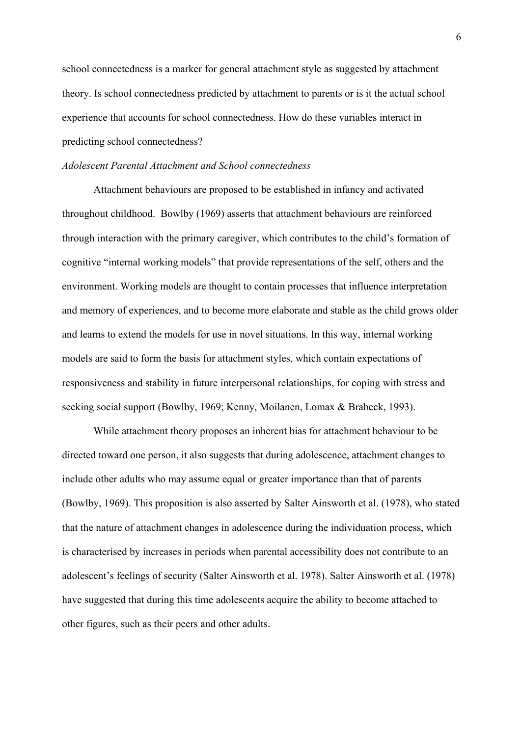school connectedness is a marker for general attachment style as suggested by attachment theory. Is school connectedness predicted by attachment to parents or is it the actual school experience that accounts for school connectedness. How do these variables interact in predicting school connectedness?

### *Adolescent Parental Attachment and School connectedness*

Attachment behaviours are proposed to be established in infancy and activated throughout childhood. Bowlby (1969) asserts that attachment behaviours are reinforced through interaction with the primary caregiver, which contributes to the child's formation of cognitive "internal working models" that provide representations of the self, others and the environment. Working models are thought to contain processes that influence interpretation and memory of experiences, and to become more elaborate and stable as the child grows older and learns to extend the models for use in novel situations. In this way, internal working models are said to form the basis for attachment styles, which contain expectations of responsiveness and stability in future interpersonal relationships, for coping with stress and seeking social support (Bowlby, 1969; Kenny, Moilanen, Lomax & Brabeck, 1993).

While attachment theory proposes an inherent bias for attachment behaviour to be directed toward one person, it also suggests that during adolescence, attachment changes to include other adults who may assume equal or greater importance than that of parents (Bowlby, 1969). This proposition is also asserted by Salter Ainsworth et al. (1978), who stated that the nature of attachment changes in adolescence during the individuation process, which is characterised by increases in periods when parental accessibility does not contribute to an adolescent's feelings of security (Salter Ainsworth et al. 1978). Salter Ainsworth et al. (1978) have suggested that during this time adolescents acquire the ability to become attached to other figures, such as their peers and other adults.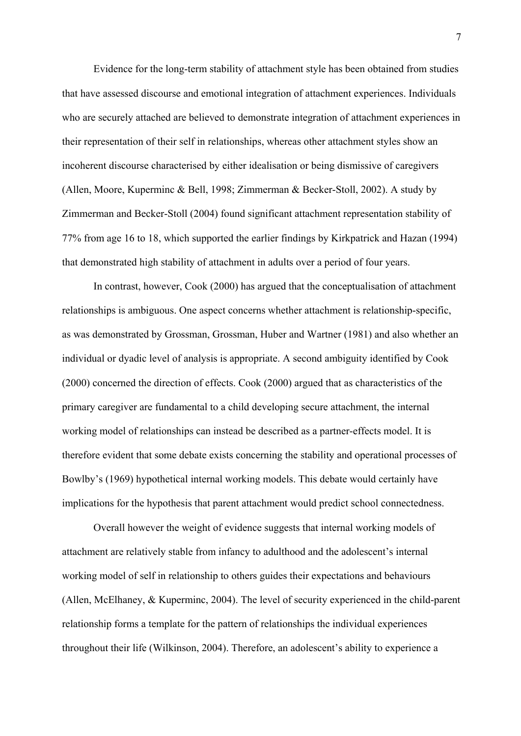Evidence for the long-term stability of attachment style has been obtained from studies that have assessed discourse and emotional integration of attachment experiences. Individuals who are securely attached are believed to demonstrate integration of attachment experiences in their representation of their self in relationships, whereas other attachment styles show an incoherent discourse characterised by either idealisation or being dismissive of caregivers (Allen, Moore, Kuperminc & Bell, 1998; Zimmerman & Becker-Stoll, 2002). A study by Zimmerman and Becker-Stoll (2004) found significant attachment representation stability of 77% from age 16 to 18, which supported the earlier findings by Kirkpatrick and Hazan (1994) that demonstrated high stability of attachment in adults over a period of four years.

In contrast, however, Cook (2000) has argued that the conceptualisation of attachment relationships is ambiguous. One aspect concerns whether attachment is relationship-specific, as was demonstrated by Grossman, Grossman, Huber and Wartner (1981) and also whether an individual or dyadic level of analysis is appropriate. A second ambiguity identified by Cook (2000) concerned the direction of effects. Cook (2000) argued that as characteristics of the primary caregiver are fundamental to a child developing secure attachment, the internal working model of relationships can instead be described as a partner-effects model. It is therefore evident that some debate exists concerning the stability and operational processes of Bowlby's (1969) hypothetical internal working models. This debate would certainly have implications for the hypothesis that parent attachment would predict school connectedness.

Overall however the weight of evidence suggests that internal working models of attachment are relatively stable from infancy to adulthood and the adolescent's internal working model of self in relationship to others guides their expectations and behaviours (Allen, McElhaney, & Kuperminc, 2004). The level of security experienced in the child-parent relationship forms a template for the pattern of relationships the individual experiences throughout their life (Wilkinson, 2004). Therefore, an adolescent's ability to experience a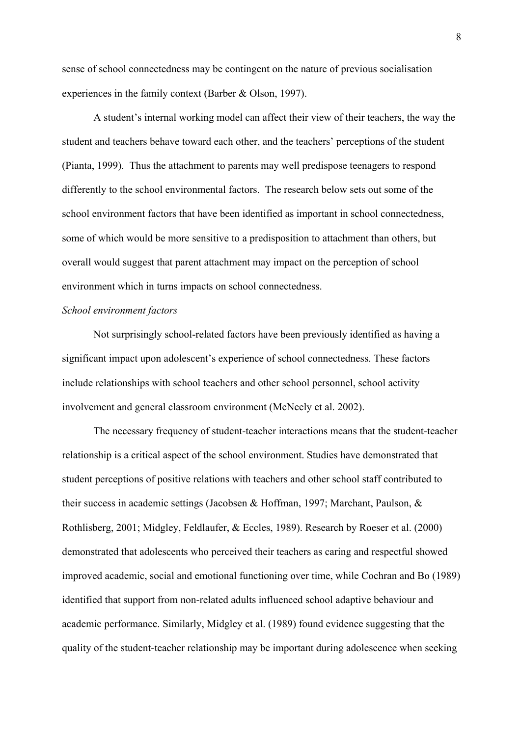sense of school connectedness may be contingent on the nature of previous socialisation experiences in the family context (Barber & Olson, 1997).

A student's internal working model can affect their view of their teachers, the way the student and teachers behave toward each other, and the teachers' perceptions of the student (Pianta, 1999). Thus the attachment to parents may well predispose teenagers to respond differently to the school environmental factors. The research below sets out some of the school environment factors that have been identified as important in school connectedness, some of which would be more sensitive to a predisposition to attachment than others, but overall would suggest that parent attachment may impact on the perception of school environment which in turns impacts on school connectedness.

# *School environment factors*

Not surprisingly school-related factors have been previously identified as having a significant impact upon adolescent's experience of school connectedness. These factors include relationships with school teachers and other school personnel, school activity involvement and general classroom environment (McNeely et al. 2002).

The necessary frequency of student-teacher interactions means that the student-teacher relationship is a critical aspect of the school environment. Studies have demonstrated that student perceptions of positive relations with teachers and other school staff contributed to their success in academic settings (Jacobsen & Hoffman, 1997; Marchant, Paulson, & Rothlisberg, 2001; Midgley, Feldlaufer, & Eccles, 1989). Research by Roeser et al. (2000) demonstrated that adolescents who perceived their teachers as caring and respectful showed improved academic, social and emotional functioning over time, while Cochran and Bo (1989) identified that support from non-related adults influenced school adaptive behaviour and academic performance. Similarly, Midgley et al. (1989) found evidence suggesting that the quality of the student-teacher relationship may be important during adolescence when seeking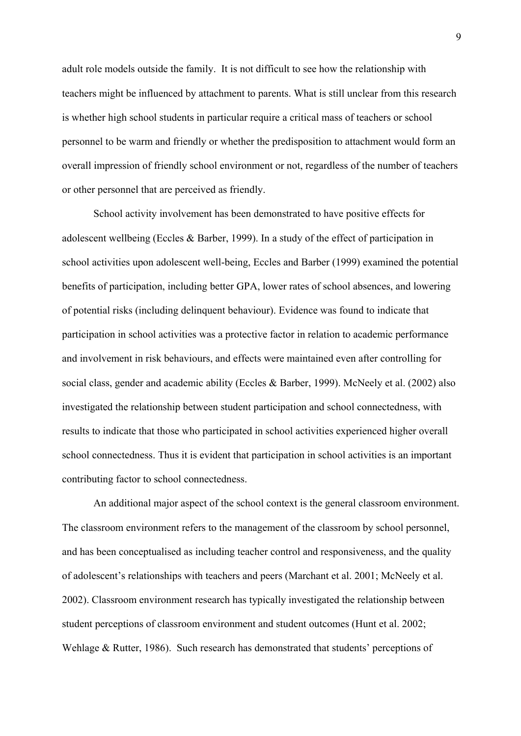adult role models outside the family. It is not difficult to see how the relationship with teachers might be influenced by attachment to parents. What is still unclear from this research is whether high school students in particular require a critical mass of teachers or school personnel to be warm and friendly or whether the predisposition to attachment would form an overall impression of friendly school environment or not, regardless of the number of teachers or other personnel that are perceived as friendly.

School activity involvement has been demonstrated to have positive effects for adolescent wellbeing (Eccles & Barber, 1999). In a study of the effect of participation in school activities upon adolescent well-being, Eccles and Barber (1999) examined the potential benefits of participation, including better GPA, lower rates of school absences, and lowering of potential risks (including delinquent behaviour). Evidence was found to indicate that participation in school activities was a protective factor in relation to academic performance and involvement in risk behaviours, and effects were maintained even after controlling for social class, gender and academic ability (Eccles & Barber, 1999). McNeely et al. (2002) also investigated the relationship between student participation and school connectedness, with results to indicate that those who participated in school activities experienced higher overall school connectedness. Thus it is evident that participation in school activities is an important contributing factor to school connectedness.

An additional major aspect of the school context is the general classroom environment. The classroom environment refers to the management of the classroom by school personnel, and has been conceptualised as including teacher control and responsiveness, and the quality of adolescent's relationships with teachers and peers (Marchant et al. 2001; McNeely et al. 2002). Classroom environment research has typically investigated the relationship between student perceptions of classroom environment and student outcomes (Hunt et al. 2002; Wehlage & Rutter, 1986). Such research has demonstrated that students' perceptions of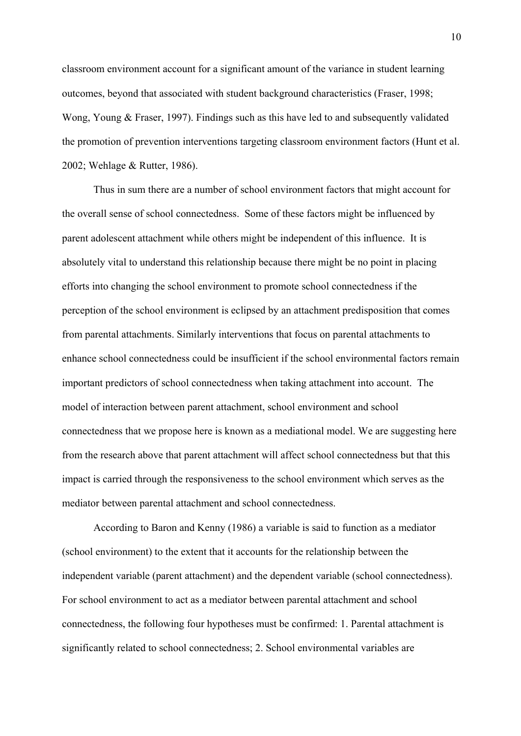classroom environment account for a significant amount of the variance in student learning outcomes, beyond that associated with student background characteristics (Fraser, 1998; Wong, Young & Fraser, 1997). Findings such as this have led to and subsequently validated the promotion of prevention interventions targeting classroom environment factors (Hunt et al. 2002; Wehlage & Rutter, 1986).

Thus in sum there are a number of school environment factors that might account for the overall sense of school connectedness. Some of these factors might be influenced by parent adolescent attachment while others might be independent of this influence. It is absolutely vital to understand this relationship because there might be no point in placing efforts into changing the school environment to promote school connectedness if the perception of the school environment is eclipsed by an attachment predisposition that comes from parental attachments. Similarly interventions that focus on parental attachments to enhance school connectedness could be insufficient if the school environmental factors remain important predictors of school connectedness when taking attachment into account. The model of interaction between parent attachment, school environment and school connectedness that we propose here is known as a mediational model. We are suggesting here from the research above that parent attachment will affect school connectedness but that this impact is carried through the responsiveness to the school environment which serves as the mediator between parental attachment and school connectedness.

According to Baron and Kenny (1986) a variable is said to function as a mediator (school environment) to the extent that it accounts for the relationship between the independent variable (parent attachment) and the dependent variable (school connectedness). For school environment to act as a mediator between parental attachment and school connectedness, the following four hypotheses must be confirmed: 1. Parental attachment is significantly related to school connectedness; 2. School environmental variables are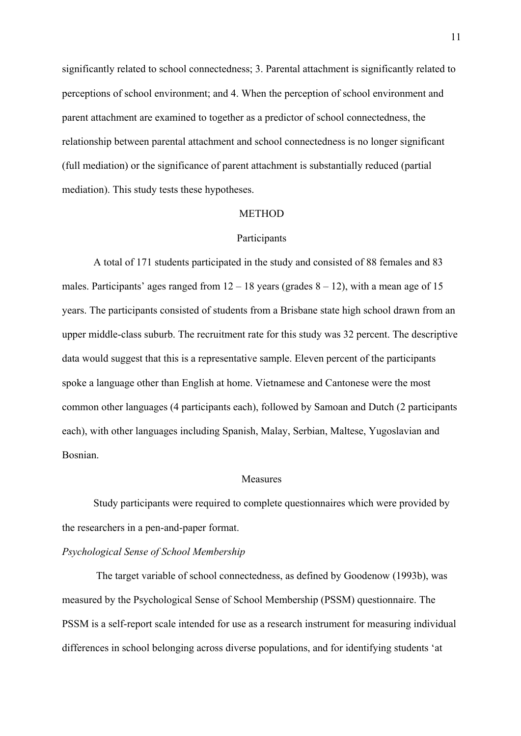significantly related to school connectedness; 3. Parental attachment is significantly related to perceptions of school environment; and 4. When the perception of school environment and parent attachment are examined to together as a predictor of school connectedness, the relationship between parental attachment and school connectedness is no longer significant (full mediation) or the significance of parent attachment is substantially reduced (partial mediation). This study tests these hypotheses.

#### METHOD

#### Participants

A total of 171 students participated in the study and consisted of 88 females and 83 males. Participants' ages ranged from  $12 - 18$  years (grades  $8 - 12$ ), with a mean age of 15 years. The participants consisted of students from a Brisbane state high school drawn from an upper middle-class suburb. The recruitment rate for this study was 32 percent. The descriptive data would suggest that this is a representative sample. Eleven percent of the participants spoke a language other than English at home. Vietnamese and Cantonese were the most common other languages (4 participants each), followed by Samoan and Dutch (2 participants each), with other languages including Spanish, Malay, Serbian, Maltese, Yugoslavian and Bosnian.

#### Measures

Study participants were required to complete questionnaires which were provided by the researchers in a pen-and-paper format.

# *Psychological Sense of School Membership*

The target variable of school connectedness, as defined by Goodenow (1993b), was measured by the Psychological Sense of School Membership (PSSM) questionnaire. The PSSM is a self-report scale intended for use as a research instrument for measuring individual differences in school belonging across diverse populations, and for identifying students 'at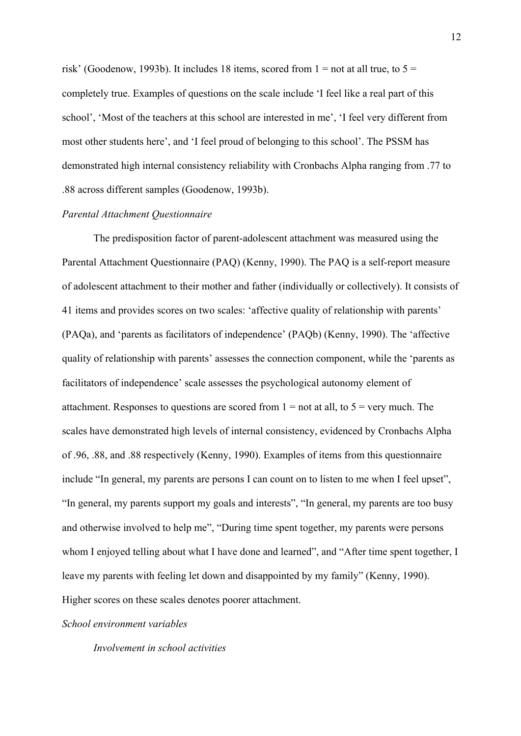risk' (Goodenow, 1993b). It includes 18 items, scored from  $1 =$  not at all true, to  $5 =$ completely true. Examples of questions on the scale include 'I feel like a real part of this school', 'Most of the teachers at this school are interested in me', 'I feel very different from most other students here', and 'I feel proud of belonging to this school'. The PSSM has demonstrated high internal consistency reliability with Cronbachs Alpha ranging from .77 to .88 across different samples (Goodenow, 1993b).

### *Parental Attachment Questionnaire*

The predisposition factor of parent-adolescent attachment was measured using the Parental Attachment Questionnaire (PAQ) (Kenny, 1990). The PAQ is a self-report measure of adolescent attachment to their mother and father (individually or collectively). It consists of 41 items and provides scores on two scales: 'affective quality of relationship with parents' (PAQa), and 'parents as facilitators of independence' (PAQb) (Kenny, 1990). The 'affective quality of relationship with parents' assesses the connection component, while the 'parents as facilitators of independence' scale assesses the psychological autonomy element of attachment. Responses to questions are scored from  $1 =$  not at all, to  $5 =$  very much. The scales have demonstrated high levels of internal consistency, evidenced by Cronbachs Alpha of .96, .88, and .88 respectively (Kenny, 1990). Examples of items from this questionnaire include "In general, my parents are persons I can count on to listen to me when I feel upset", "In general, my parents support my goals and interests", "In general, my parents are too busy and otherwise involved to help me", "During time spent together, my parents were persons whom I enjoyed telling about what I have done and learned", and "After time spent together, I leave my parents with feeling let down and disappointed by my family" (Kenny, 1990). Higher scores on these scales denotes poorer attachment.

### *School environment variables*

*Involvement in school activities*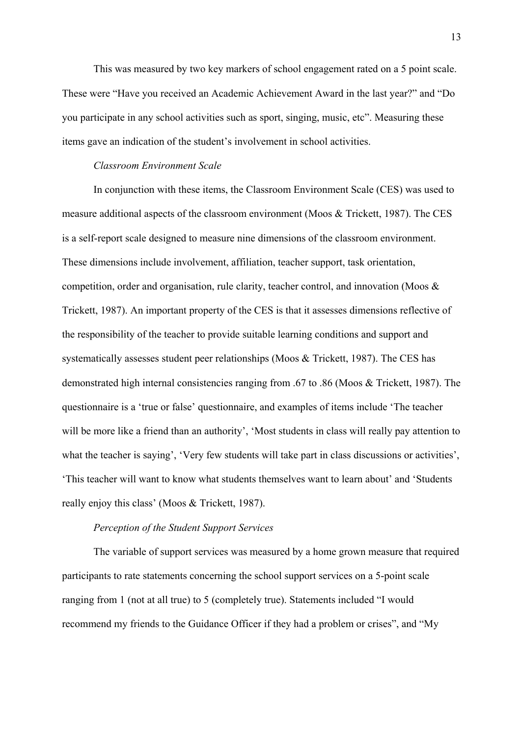This was measured by two key markers of school engagement rated on a 5 point scale. These were "Have you received an Academic Achievement Award in the last year?" and "Do you participate in any school activities such as sport, singing, music, etc". Measuring these items gave an indication of the student's involvement in school activities.

### *Classroom Environment Scale*

In conjunction with these items, the Classroom Environment Scale (CES) was used to measure additional aspects of the classroom environment (Moos & Trickett, 1987). The CES is a self-report scale designed to measure nine dimensions of the classroom environment. These dimensions include involvement, affiliation, teacher support, task orientation, competition, order and organisation, rule clarity, teacher control, and innovation (Moos & Trickett, 1987). An important property of the CES is that it assesses dimensions reflective of the responsibility of the teacher to provide suitable learning conditions and support and systematically assesses student peer relationships (Moos & Trickett, 1987). The CES has demonstrated high internal consistencies ranging from .67 to .86 (Moos & Trickett, 1987). The questionnaire is a 'true or false' questionnaire, and examples of items include 'The teacher will be more like a friend than an authority', 'Most students in class will really pay attention to what the teacher is saying', 'Very few students will take part in class discussions or activities', 'This teacher will want to know what students themselves want to learn about' and 'Students really enjoy this class' (Moos & Trickett, 1987).

## *Perception of the Student Support Services*

The variable of support services was measured by a home grown measure that required participants to rate statements concerning the school support services on a 5-point scale ranging from 1 (not at all true) to 5 (completely true). Statements included "I would recommend my friends to the Guidance Officer if they had a problem or crises", and "My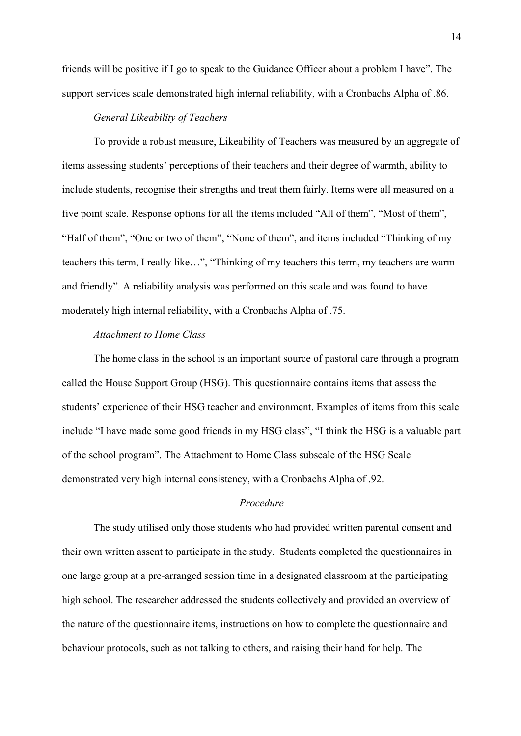friends will be positive if I go to speak to the Guidance Officer about a problem I have". The support services scale demonstrated high internal reliability, with a Cronbachs Alpha of .86.

## *General Likeability of Teachers*

To provide a robust measure, Likeability of Teachers was measured by an aggregate of items assessing students' perceptions of their teachers and their degree of warmth, ability to include students, recognise their strengths and treat them fairly. Items were all measured on a five point scale. Response options for all the items included "All of them", "Most of them", "Half of them", "One or two of them", "None of them", and items included "Thinking of my teachers this term, I really like…", "Thinking of my teachers this term, my teachers are warm and friendly". A reliability analysis was performed on this scale and was found to have moderately high internal reliability, with a Cronbachs Alpha of .75.

# *Attachment to Home Class*

The home class in the school is an important source of pastoral care through a program called the House Support Group (HSG). This questionnaire contains items that assess the students' experience of their HSG teacher and environment. Examples of items from this scale include "I have made some good friends in my HSG class", "I think the HSG is a valuable part of the school program". The Attachment to Home Class subscale of the HSG Scale demonstrated very high internal consistency, with a Cronbachs Alpha of .92.

### *Procedure*

The study utilised only those students who had provided written parental consent and their own written assent to participate in the study. Students completed the questionnaires in one large group at a pre-arranged session time in a designated classroom at the participating high school. The researcher addressed the students collectively and provided an overview of the nature of the questionnaire items, instructions on how to complete the questionnaire and behaviour protocols, such as not talking to others, and raising their hand for help. The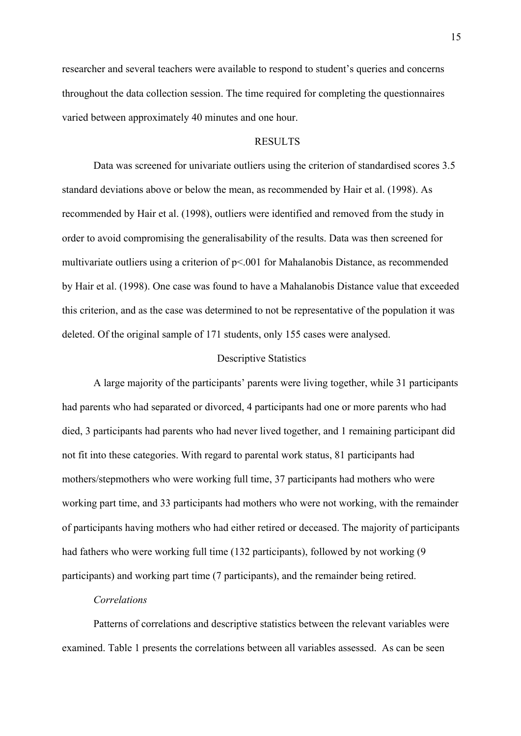researcher and several teachers were available to respond to student's queries and concerns throughout the data collection session. The time required for completing the questionnaires varied between approximately 40 minutes and one hour.

# RESULTS

Data was screened for univariate outliers using the criterion of standardised scores 3.5 standard deviations above or below the mean, as recommended by Hair et al. (1998). As recommended by Hair et al. (1998), outliers were identified and removed from the study in order to avoid compromising the generalisability of the results. Data was then screened for multivariate outliers using a criterion of p<.001 for Mahalanobis Distance, as recommended by Hair et al. (1998). One case was found to have a Mahalanobis Distance value that exceeded this criterion, and as the case was determined to not be representative of the population it was deleted. Of the original sample of 171 students, only 155 cases were analysed.

## Descriptive Statistics

A large majority of the participants' parents were living together, while 31 participants had parents who had separated or divorced, 4 participants had one or more parents who had died, 3 participants had parents who had never lived together, and 1 remaining participant did not fit into these categories. With regard to parental work status, 81 participants had mothers/stepmothers who were working full time, 37 participants had mothers who were working part time, and 33 participants had mothers who were not working, with the remainder of participants having mothers who had either retired or deceased. The majority of participants had fathers who were working full time (132 participants), followed by not working (9 participants) and working part time (7 participants), and the remainder being retired.

# *Correlations*

Patterns of correlations and descriptive statistics between the relevant variables were examined. Table 1 presents the correlations between all variables assessed. As can be seen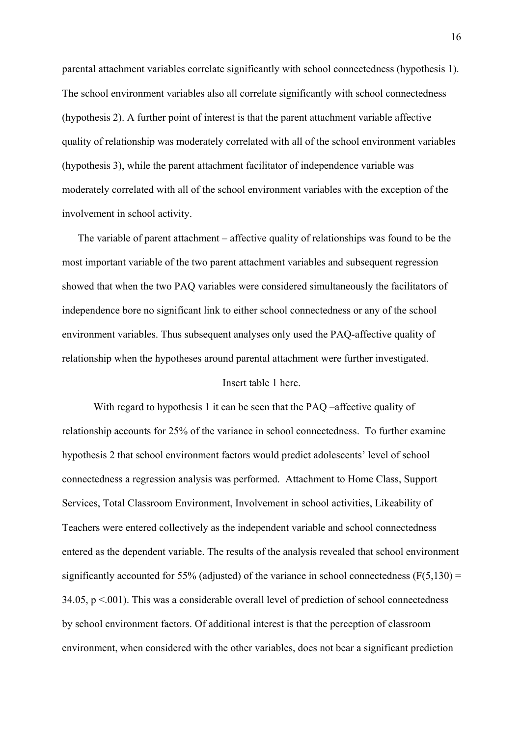parental attachment variables correlate significantly with school connectedness (hypothesis 1). The school environment variables also all correlate significantly with school connectedness (hypothesis 2). A further point of interest is that the parent attachment variable affective quality of relationship was moderately correlated with all of the school environment variables (hypothesis 3), while the parent attachment facilitator of independence variable was moderately correlated with all of the school environment variables with the exception of the involvement in school activity.

The variable of parent attachment – affective quality of relationships was found to be the most important variable of the two parent attachment variables and subsequent regression showed that when the two PAQ variables were considered simultaneously the facilitators of independence bore no significant link to either school connectedness or any of the school environment variables. Thus subsequent analyses only used the PAQ-affective quality of relationship when the hypotheses around parental attachment were further investigated.

## Insert table 1 here.

With regard to hypothesis 1 it can be seen that the PAO –affective quality of relationship accounts for 25% of the variance in school connectedness. To further examine hypothesis 2 that school environment factors would predict adolescents' level of school connectedness a regression analysis was performed. Attachment to Home Class, Support Services, Total Classroom Environment, Involvement in school activities, Likeability of Teachers were entered collectively as the independent variable and school connectedness entered as the dependent variable. The results of the analysis revealed that school environment significantly accounted for 55% (adjusted) of the variance in school connectedness ( $F(5,130) =$ 34.05,  $p < 0.001$ ). This was a considerable overall level of prediction of school connectedness by school environment factors. Of additional interest is that the perception of classroom environment, when considered with the other variables, does not bear a significant prediction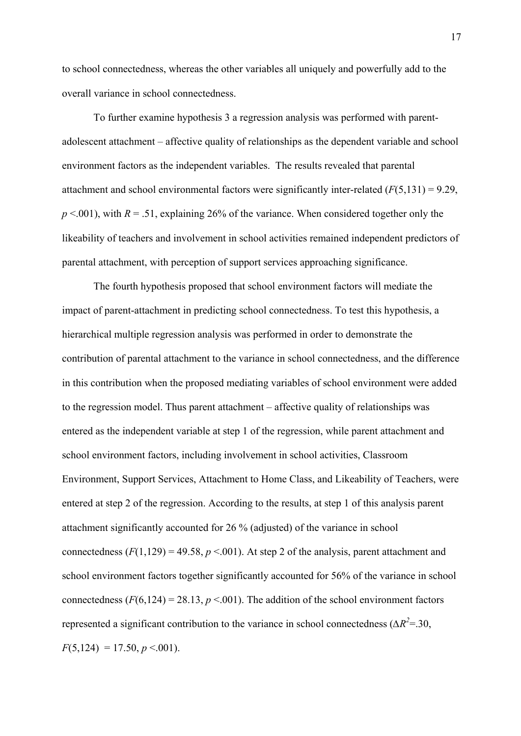to school connectedness, whereas the other variables all uniquely and powerfully add to the overall variance in school connectedness.

To further examine hypothesis 3 a regression analysis was performed with parentadolescent attachment – affective quality of relationships as the dependent variable and school environment factors as the independent variables. The results revealed that parental attachment and school environmental factors were significantly inter-related (*F*(5,131) = 9.29,  $p \le 0.001$ , with  $R = 0.51$ , explaining 26% of the variance. When considered together only the likeability of teachers and involvement in school activities remained independent predictors of parental attachment, with perception of support services approaching significance.

The fourth hypothesis proposed that school environment factors will mediate the impact of parent-attachment in predicting school connectedness. To test this hypothesis, a hierarchical multiple regression analysis was performed in order to demonstrate the contribution of parental attachment to the variance in school connectedness, and the difference in this contribution when the proposed mediating variables of school environment were added to the regression model. Thus parent attachment – affective quality of relationships was entered as the independent variable at step 1 of the regression, while parent attachment and school environment factors, including involvement in school activities, Classroom Environment, Support Services, Attachment to Home Class, and Likeability of Teachers, were entered at step 2 of the regression. According to the results, at step 1 of this analysis parent attachment significantly accounted for 26 % (adjusted) of the variance in school connectedness  $(F(1,129) = 49.58, p \le 0.001)$ . At step 2 of the analysis, parent attachment and school environment factors together significantly accounted for 56% of the variance in school connectedness  $(F(6, 124) = 28.13, p \le 001)$ . The addition of the school environment factors represented a significant contribution to the variance in school connectedness ( $\Delta R^2$ =.30,  $F(5,124) = 17.50, p \le 0.001$ .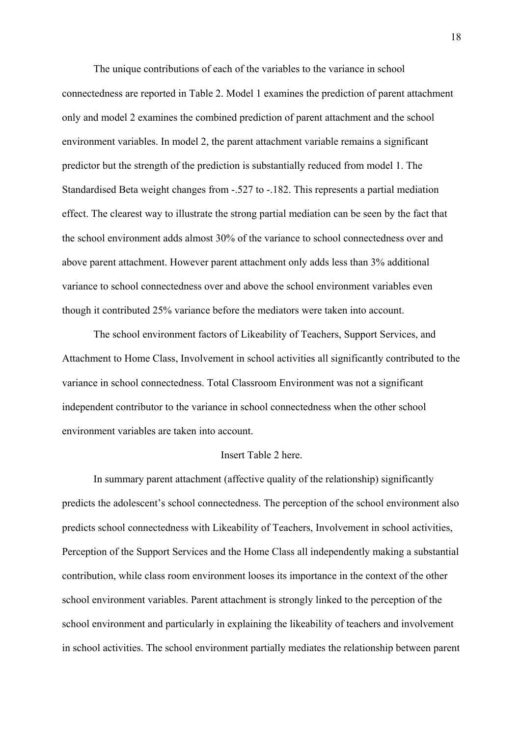The unique contributions of each of the variables to the variance in school connectedness are reported in Table 2. Model 1 examines the prediction of parent attachment only and model 2 examines the combined prediction of parent attachment and the school environment variables. In model 2, the parent attachment variable remains a significant predictor but the strength of the prediction is substantially reduced from model 1. The Standardised Beta weight changes from -.527 to -.182. This represents a partial mediation effect. The clearest way to illustrate the strong partial mediation can be seen by the fact that the school environment adds almost 30% of the variance to school connectedness over and above parent attachment. However parent attachment only adds less than 3% additional variance to school connectedness over and above the school environment variables even though it contributed 25% variance before the mediators were taken into account.

The school environment factors of Likeability of Teachers, Support Services, and Attachment to Home Class, Involvement in school activities all significantly contributed to the variance in school connectedness. Total Classroom Environment was not a significant independent contributor to the variance in school connectedness when the other school environment variables are taken into account.

## Insert Table 2 here.

In summary parent attachment (affective quality of the relationship) significantly predicts the adolescent's school connectedness. The perception of the school environment also predicts school connectedness with Likeability of Teachers, Involvement in school activities, Perception of the Support Services and the Home Class all independently making a substantial contribution, while class room environment looses its importance in the context of the other school environment variables. Parent attachment is strongly linked to the perception of the school environment and particularly in explaining the likeability of teachers and involvement in school activities. The school environment partially mediates the relationship between parent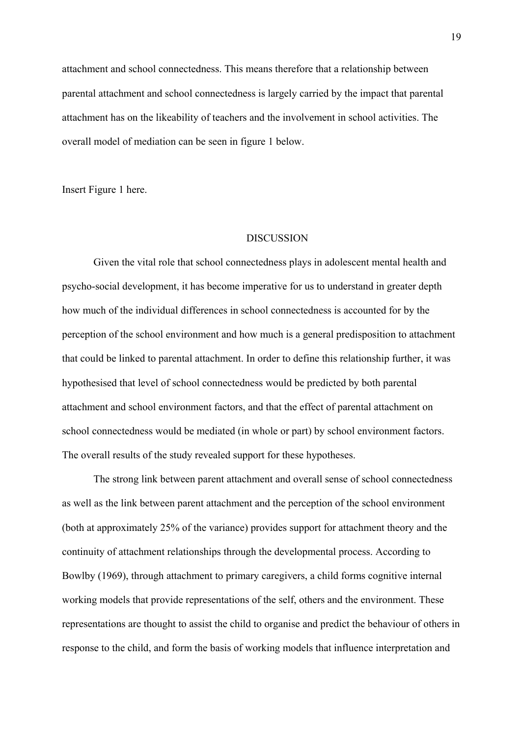attachment and school connectedness. This means therefore that a relationship between parental attachment and school connectedness is largely carried by the impact that parental attachment has on the likeability of teachers and the involvement in school activities. The overall model of mediation can be seen in figure 1 below.

Insert Figure 1 here.

#### **DISCUSSION**

Given the vital role that school connectedness plays in adolescent mental health and psycho-social development, it has become imperative for us to understand in greater depth how much of the individual differences in school connectedness is accounted for by the perception of the school environment and how much is a general predisposition to attachment that could be linked to parental attachment. In order to define this relationship further, it was hypothesised that level of school connectedness would be predicted by both parental attachment and school environment factors, and that the effect of parental attachment on school connectedness would be mediated (in whole or part) by school environment factors. The overall results of the study revealed support for these hypotheses.

The strong link between parent attachment and overall sense of school connectedness as well as the link between parent attachment and the perception of the school environment (both at approximately 25% of the variance) provides support for attachment theory and the continuity of attachment relationships through the developmental process. According to Bowlby (1969), through attachment to primary caregivers, a child forms cognitive internal working models that provide representations of the self, others and the environment. These representations are thought to assist the child to organise and predict the behaviour of others in response to the child, and form the basis of working models that influence interpretation and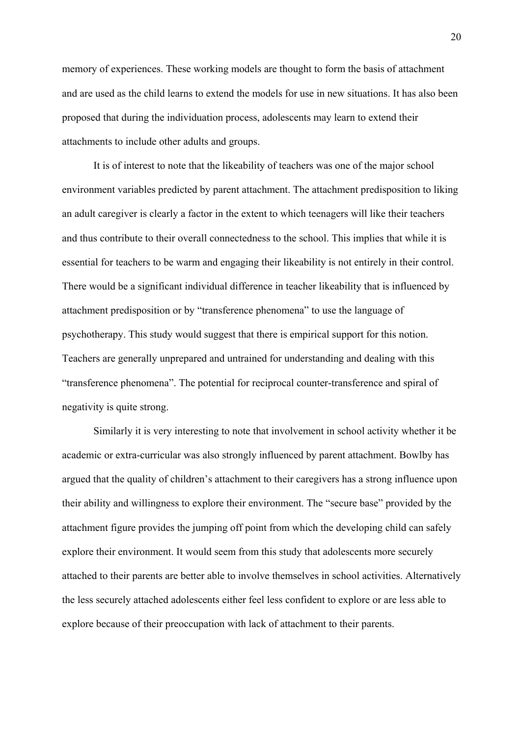memory of experiences. These working models are thought to form the basis of attachment and are used as the child learns to extend the models for use in new situations. It has also been proposed that during the individuation process, adolescents may learn to extend their attachments to include other adults and groups.

It is of interest to note that the likeability of teachers was one of the major school environment variables predicted by parent attachment. The attachment predisposition to liking an adult caregiver is clearly a factor in the extent to which teenagers will like their teachers and thus contribute to their overall connectedness to the school. This implies that while it is essential for teachers to be warm and engaging their likeability is not entirely in their control. There would be a significant individual difference in teacher likeability that is influenced by attachment predisposition or by "transference phenomena" to use the language of psychotherapy. This study would suggest that there is empirical support for this notion. Teachers are generally unprepared and untrained for understanding and dealing with this "transference phenomena". The potential for reciprocal counter-transference and spiral of negativity is quite strong.

Similarly it is very interesting to note that involvement in school activity whether it be academic or extra-curricular was also strongly influenced by parent attachment. Bowlby has argued that the quality of children's attachment to their caregivers has a strong influence upon their ability and willingness to explore their environment. The "secure base" provided by the attachment figure provides the jumping off point from which the developing child can safely explore their environment. It would seem from this study that adolescents more securely attached to their parents are better able to involve themselves in school activities. Alternatively the less securely attached adolescents either feel less confident to explore or are less able to explore because of their preoccupation with lack of attachment to their parents.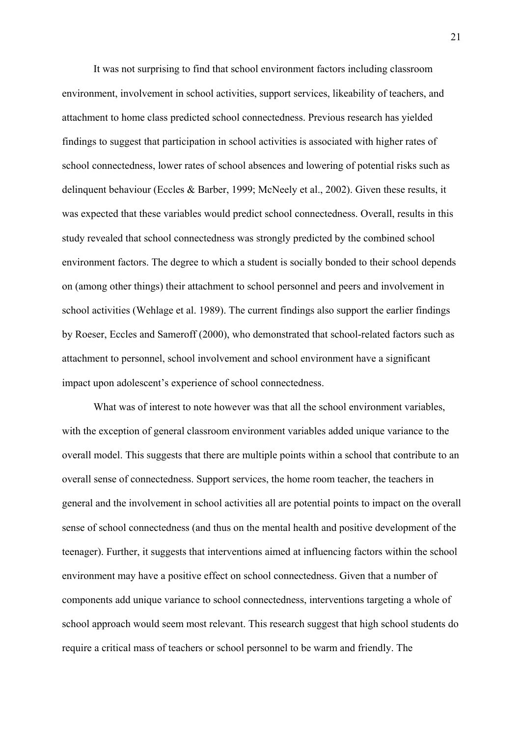It was not surprising to find that school environment factors including classroom environment, involvement in school activities, support services, likeability of teachers, and attachment to home class predicted school connectedness. Previous research has yielded findings to suggest that participation in school activities is associated with higher rates of school connectedness, lower rates of school absences and lowering of potential risks such as delinquent behaviour (Eccles & Barber, 1999; McNeely et al., 2002). Given these results, it was expected that these variables would predict school connectedness. Overall, results in this study revealed that school connectedness was strongly predicted by the combined school environment factors. The degree to which a student is socially bonded to their school depends on (among other things) their attachment to school personnel and peers and involvement in school activities (Wehlage et al. 1989). The current findings also support the earlier findings by Roeser, Eccles and Sameroff (2000), who demonstrated that school-related factors such as attachment to personnel, school involvement and school environment have a significant impact upon adolescent's experience of school connectedness.

What was of interest to note however was that all the school environment variables, with the exception of general classroom environment variables added unique variance to the overall model. This suggests that there are multiple points within a school that contribute to an overall sense of connectedness. Support services, the home room teacher, the teachers in general and the involvement in school activities all are potential points to impact on the overall sense of school connectedness (and thus on the mental health and positive development of the teenager). Further, it suggests that interventions aimed at influencing factors within the school environment may have a positive effect on school connectedness. Given that a number of components add unique variance to school connectedness, interventions targeting a whole of school approach would seem most relevant. This research suggest that high school students do require a critical mass of teachers or school personnel to be warm and friendly. The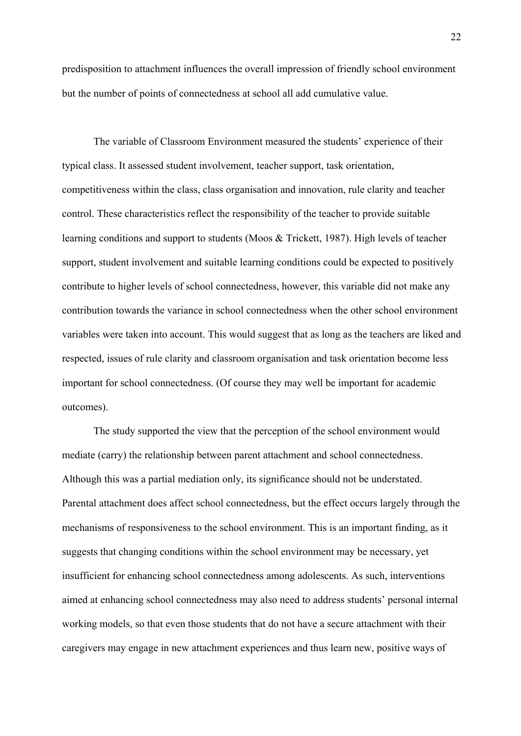predisposition to attachment influences the overall impression of friendly school environment but the number of points of connectedness at school all add cumulative value.

The variable of Classroom Environment measured the students' experience of their typical class. It assessed student involvement, teacher support, task orientation, competitiveness within the class, class organisation and innovation, rule clarity and teacher control. These characteristics reflect the responsibility of the teacher to provide suitable learning conditions and support to students (Moos & Trickett, 1987). High levels of teacher support, student involvement and suitable learning conditions could be expected to positively contribute to higher levels of school connectedness, however, this variable did not make any contribution towards the variance in school connectedness when the other school environment variables were taken into account. This would suggest that as long as the teachers are liked and respected, issues of rule clarity and classroom organisation and task orientation become less important for school connectedness. (Of course they may well be important for academic outcomes).

The study supported the view that the perception of the school environment would mediate (carry) the relationship between parent attachment and school connectedness. Although this was a partial mediation only, its significance should not be understated. Parental attachment does affect school connectedness, but the effect occurs largely through the mechanisms of responsiveness to the school environment. This is an important finding, as it suggests that changing conditions within the school environment may be necessary, yet insufficient for enhancing school connectedness among adolescents. As such, interventions aimed at enhancing school connectedness may also need to address students' personal internal working models, so that even those students that do not have a secure attachment with their caregivers may engage in new attachment experiences and thus learn new, positive ways of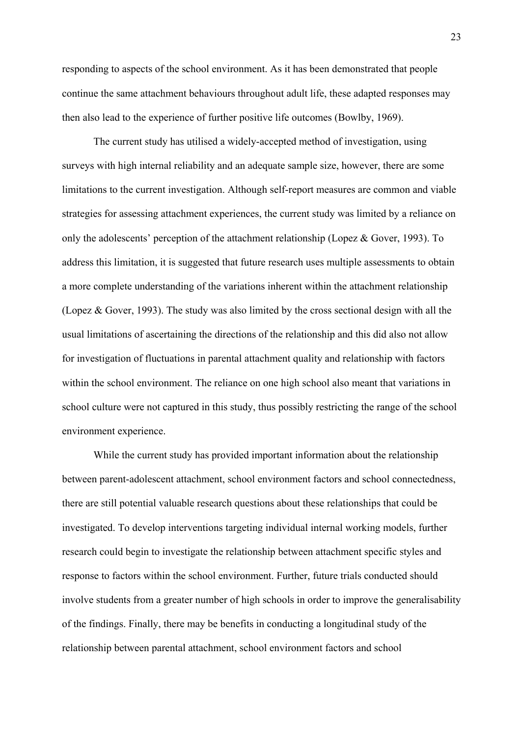responding to aspects of the school environment. As it has been demonstrated that people continue the same attachment behaviours throughout adult life, these adapted responses may then also lead to the experience of further positive life outcomes (Bowlby, 1969).

The current study has utilised a widely-accepted method of investigation, using surveys with high internal reliability and an adequate sample size, however, there are some limitations to the current investigation. Although self-report measures are common and viable strategies for assessing attachment experiences, the current study was limited by a reliance on only the adolescents' perception of the attachment relationship (Lopez & Gover, 1993). To address this limitation, it is suggested that future research uses multiple assessments to obtain a more complete understanding of the variations inherent within the attachment relationship (Lopez & Gover, 1993). The study was also limited by the cross sectional design with all the usual limitations of ascertaining the directions of the relationship and this did also not allow for investigation of fluctuations in parental attachment quality and relationship with factors within the school environment. The reliance on one high school also meant that variations in school culture were not captured in this study, thus possibly restricting the range of the school environment experience.

While the current study has provided important information about the relationship between parent-adolescent attachment, school environment factors and school connectedness, there are still potential valuable research questions about these relationships that could be investigated. To develop interventions targeting individual internal working models, further research could begin to investigate the relationship between attachment specific styles and response to factors within the school environment. Further, future trials conducted should involve students from a greater number of high schools in order to improve the generalisability of the findings. Finally, there may be benefits in conducting a longitudinal study of the relationship between parental attachment, school environment factors and school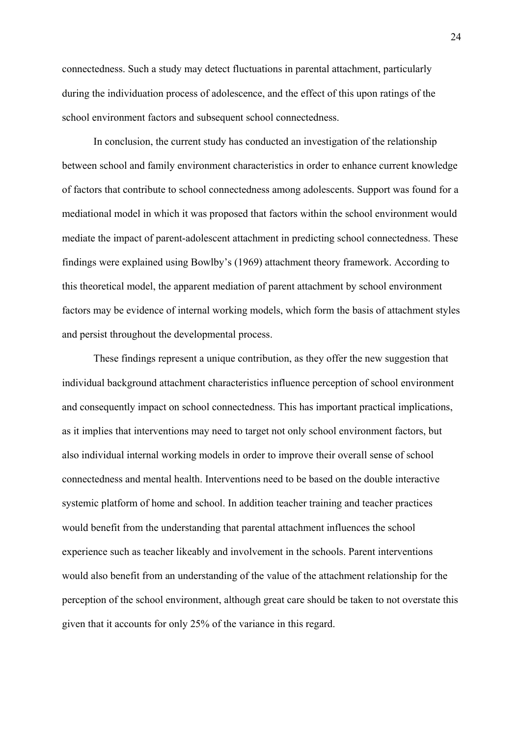connectedness. Such a study may detect fluctuations in parental attachment, particularly during the individuation process of adolescence, and the effect of this upon ratings of the school environment factors and subsequent school connectedness.

In conclusion, the current study has conducted an investigation of the relationship between school and family environment characteristics in order to enhance current knowledge of factors that contribute to school connectedness among adolescents. Support was found for a mediational model in which it was proposed that factors within the school environment would mediate the impact of parent-adolescent attachment in predicting school connectedness. These findings were explained using Bowlby's (1969) attachment theory framework. According to this theoretical model, the apparent mediation of parent attachment by school environment factors may be evidence of internal working models, which form the basis of attachment styles and persist throughout the developmental process.

These findings represent a unique contribution, as they offer the new suggestion that individual background attachment characteristics influence perception of school environment and consequently impact on school connectedness. This has important practical implications, as it implies that interventions may need to target not only school environment factors, but also individual internal working models in order to improve their overall sense of school connectedness and mental health. Interventions need to be based on the double interactive systemic platform of home and school. In addition teacher training and teacher practices would benefit from the understanding that parental attachment influences the school experience such as teacher likeably and involvement in the schools. Parent interventions would also benefit from an understanding of the value of the attachment relationship for the perception of the school environment, although great care should be taken to not overstate this given that it accounts for only 25% of the variance in this regard.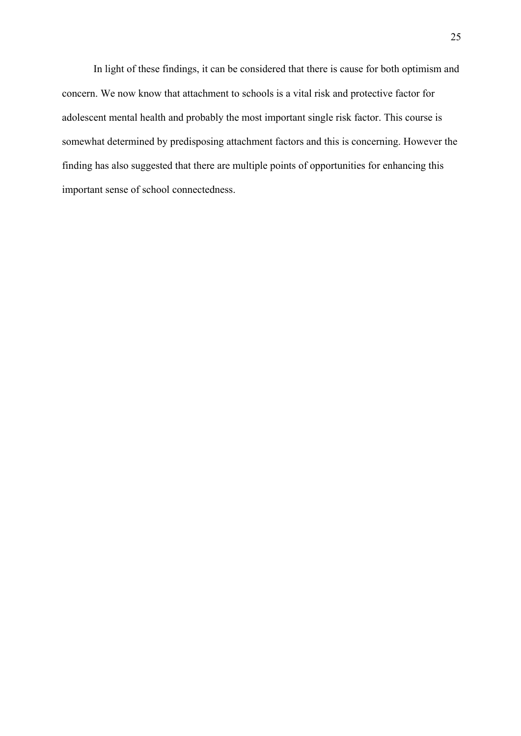In light of these findings, it can be considered that there is cause for both optimism and concern. We now know that attachment to schools is a vital risk and protective factor for adolescent mental health and probably the most important single risk factor. This course is somewhat determined by predisposing attachment factors and this is concerning. However the finding has also suggested that there are multiple points of opportunities for enhancing this important sense of school connectedness.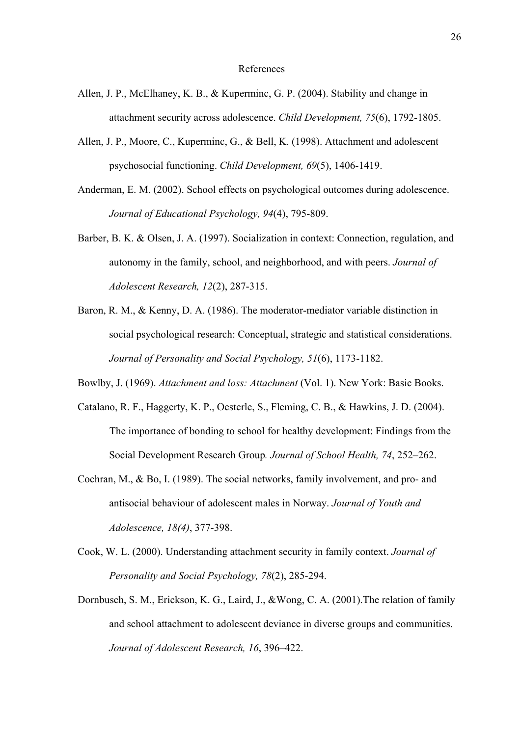#### References

- Allen, J. P., McElhaney, K. B., & Kuperminc, G. P. (2004). Stability and change in attachment security across adolescence. *Child Development, 75*(6), 1792-1805.
- Allen, J. P., Moore, C., Kuperminc, G., & Bell, K. (1998). Attachment and adolescent psychosocial functioning. *Child Development, 69*(5), 1406-1419.
- Anderman, E. M. (2002). School effects on psychological outcomes during adolescence. *Journal of Educational Psychology, 94*(4), 795-809.
- Barber, B. K. & Olsen, J. A. (1997). [Socialization in context: Connection, regulation, and](javascript:__doLinkPostBack()  [autonomy in the family, school, and neighborhood, and with peers.](javascript:__doLinkPostBack() *Journal of Adolescent Research, 12*(2), 287-315.
- Baron, R. M., & Kenny, D. A. (1986). The moderator-mediator variable distinction in social psychological research: Conceptual, strategic and statistical considerations. *Journal of Personality and Social Psychology, 51*(6), 1173-1182.

Bowlby, J. (1969). *Attachment and loss: Attachment* (Vol. 1). New York: Basic Books.

- Catalano, R. F., Haggerty, K. P., Oesterle, S., Fleming, C. B., & Hawkins, J. D. (2004). The importance of bonding to school for healthy development: Findings from the Social Development Research Group*. Journal of School Health, 74*, 252–262.
- Cochran, M., & Bo, I. (1989). The social networks, family involvement, and pro- and antisocial behaviour of adolescent males in Norway. *Journal of Youth and Adolescence, 18(4)*, 377-398.
- Cook, W. L. (2000). Understanding attachment security in family context. *Journal of Personality and Social Psychology, 78*(2), 285-294.
- Dornbusch, S. M., Erickson, K. G., Laird, J., &Wong, C. A. (2001).The relation of family and school attachment to adolescent deviance in diverse groups and communities. *Journal of Adolescent Research, 16*, 396–422.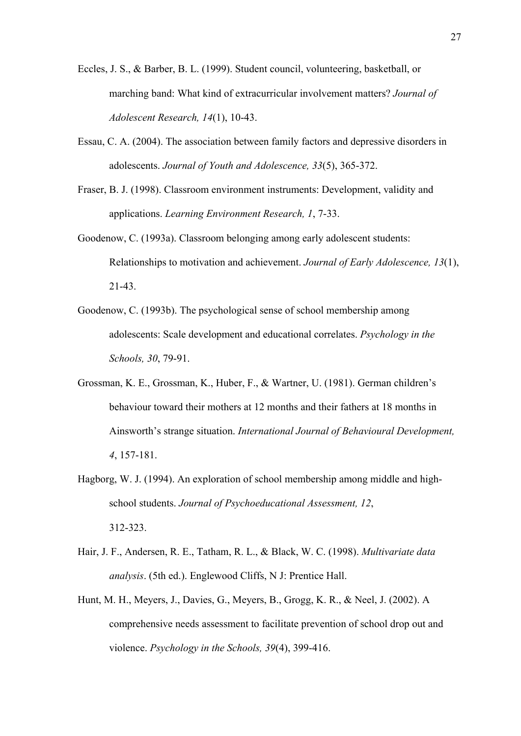- Eccles, J. S., & Barber, B. L. (1999). Student council, volunteering, basketball, or marching band: What kind of extracurricular involvement matters? *Journal of Adolescent Research, 14*(1), 10-43.
- Essau, C. A. (2004). The association between family factors and depressive disorders in adolescents. *Journal of Youth and Adolescence, 33*(5), 365-372.
- Fraser, B. J. (1998). Classroom environment instruments: Development, validity and applications. *Learning Environment Research, 1*, 7-33.
- Goodenow, C. (1993a). Classroom belonging among early adolescent students: Relationships to motivation and achievement. *Journal of Early Adolescence, 13*(1), 21-43.
- Goodenow, C. (1993b). The psychological sense of school membership among adolescents: Scale development and educational correlates. *Psychology in the Schools, 30*, 79-91.
- Grossman, K. E., Grossman, K., Huber, F., & Wartner, U. (1981). German children's behaviour toward their mothers at 12 months and their fathers at 18 months in Ainsworth's strange situation. *International Journal of Behavioural Development, 4*, 157-181.
- Hagborg, W. J. (1994). An exploration of school membership among middle and highschool students. *Journal of Psychoeducational Assessment, 12*, 312-323.
- Hair, J. F., Andersen, R. E., Tatham, R. L., & Black, W. C. (1998). *Multivariate data analysis*. (5th ed.). Englewood Cliffs, N J: Prentice Hall.
- Hunt, M. H., Meyers, J., Davies, G., Meyers, B., Grogg, K. R., & Neel, J. (2002). A comprehensive needs assessment to facilitate prevention of school drop out and violence. *Psychology in the Schools, 39*(4), 399-416.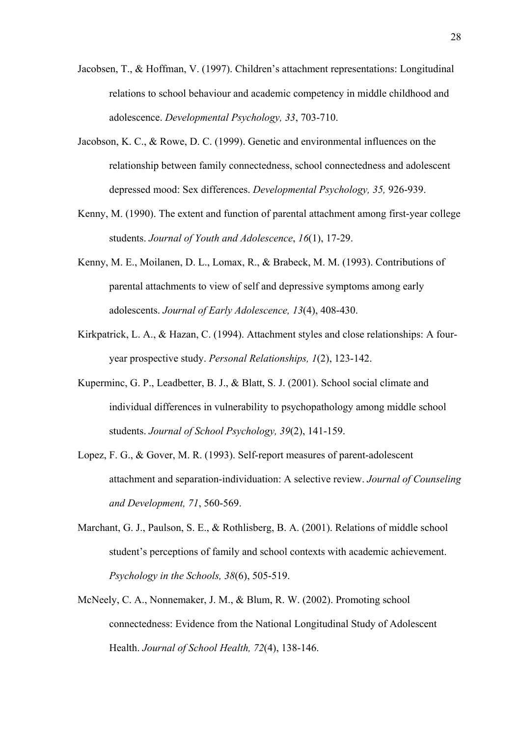- Jacobsen, T., & Hoffman, V. (1997). Children's attachment representations: Longitudinal relations to school behaviour and academic competency in middle childhood and adolescence. *Developmental Psychology, 33*, 703-710.
- Jacobson, K. C., & Rowe, D. C. (1999). Genetic and environmental influences on the relationship between family connectedness, school connectedness and adolescent depressed mood: Sex differences. *Developmental Psychology, 35,* 926-939.
- Kenny, M. (1990). The extent and function of parental attachment among first-year college students. *Journal of Youth and Adolescence*, *16*(1), 17-29.
- Kenny, M. E., Moilanen, D. L., Lomax, R., & Brabeck, M. M. (1993). Contributions of parental attachments to view of self and depressive symptoms among early adolescents. *Journal of Early Adolescence, 13*(4), 408-430.
- Kirkpatrick, L. A., & Hazan, C. (1994). Attachment styles and close relationships: A fouryear prospective study. *Personal Relationships, 1*(2), 123-142.
- Kuperminc, G. P., Leadbetter, B. J., & Blatt, S. J. (2001). School social climate and individual differences in vulnerability to psychopathology among middle school students. *Journal of School Psychology, 39*(2), 141-159.
- Lopez, F. G., & Gover, M. R. (1993). Self-report measures of parent-adolescent attachment and separation-individuation: A selective review. *Journal of Counseling and Development, 71*, 560-569.
- Marchant, G. J., Paulson, S. E., & Rothlisberg, B. A. (2001). Relations of middle school student's perceptions of family and school contexts with academic achievement. *Psychology in the Schools, 38*(6), 505-519.
- McNeely, C. A., Nonnemaker, J. M., & Blum, R. W. (2002). Promoting school connectedness: Evidence from the National Longitudinal Study of Adolescent Health. *Journal of School Health, 72*(4), 138-146.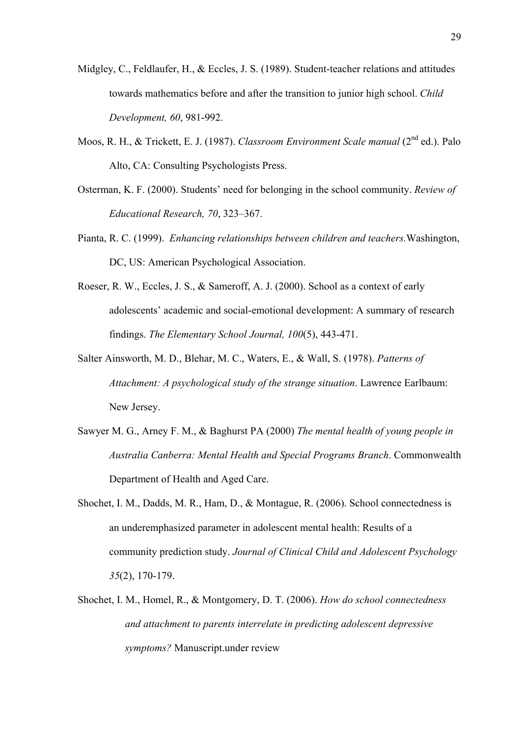- Midgley, C., Feldlaufer, H., & Eccles, J. S. (1989). Student-teacher relations and attitudes towards mathematics before and after the transition to junior high school. *Child Development, 60*, 981-992.
- Moos, R. H., & Trickett, E. J. (1987). *Classroom Environment Scale manual* (2<sup>nd</sup> ed.). Palo Alto, CA: Consulting Psychologists Press.
- Osterman, K. F. (2000). Students' need for belonging in the school community. *Review of Educational Research, 70*, 323–367.
- Pianta, R. C. (1999). *[Enhancing relationships between children and teachers.](javascript:__doLinkPostBack()*Washington, DC, US: American Psychological Association.
- Roeser, R. W., Eccles, J. S., & Sameroff, A. J. (2000). School as a context of early adolescents' academic and social-emotional development: A summary of research findings. *The Elementary School Journal, 100*(5), 443-471.
- Salter Ainsworth, M. D., Blehar, M. C., Waters, E., & Wall, S. (1978). *Patterns of Attachment: A psychological study of the strange situation*. Lawrence Earlbaum: New Jersey.
- Sawyer M. G., Arney F. M., & Baghurst PA (2000) *The mental health of young people in Australia Canberra: Mental Health and Special Programs Branch*. Commonwealth Department of Health and Aged Care.
- Shochet, I. M., Dadds, M. R., Ham, D., & Montague, R. (2006). School connectedness is an underemphasized parameter in adolescent mental health: Results of a community prediction study. *Journal of Clinical Child and Adolescent Psychology 35*(2), 170-179.
- Shochet, I. M., Homel, R., & Montgomery, D. T. (2006). *How do school connectedness and attachment to parents interrelate in predicting adolescent depressive symptoms?* Manuscript.under review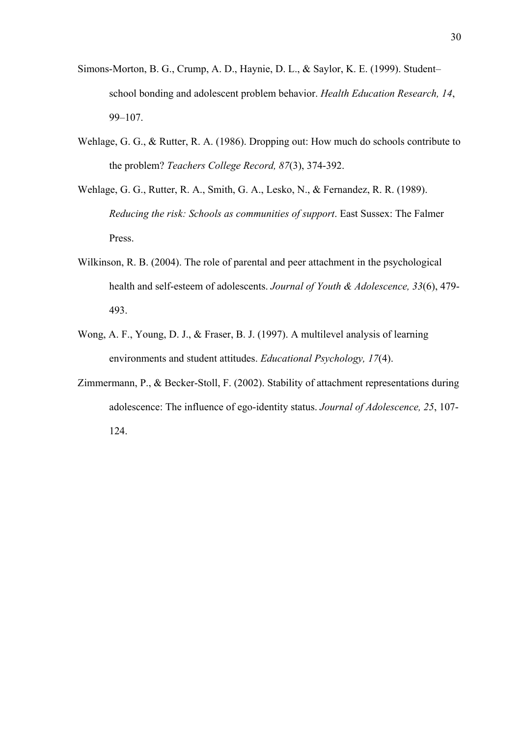- Simons-Morton, B. G., Crump, A. D., Haynie, D. L., & Saylor, K. E. (1999). Student– school bonding and adolescent problem behavior. *Health Education Research, 14*, 99–107.
- Wehlage, G. G., & Rutter, R. A. (1986). Dropping out: How much do schools contribute to the problem? *Teachers College Record, 87*(3), 374-392.
- Wehlage, G. G., Rutter, R. A., Smith, G. A., Lesko, N., & Fernandez, R. R. (1989). *Reducing the risk: Schools as communities of support*. East Sussex: The Falmer Press.
- Wilkinson, R. B. (2004). The role of parental and peer attachment in the psychological health and self-esteem of adolescents. *Journal of Youth & Adolescence, 33*(6), 479- 493.
- Wong, A. F., Young, D. J., & Fraser, B. J. (1997). A multilevel analysis of learning environments and student attitudes. *Educational Psychology, 17*(4).
- Zimmermann, P., & Becker-Stoll, F. (2002). Stability of attachment representations during adolescence: The influence of ego-identity status. *Journal of Adolescence, 25*, 107- 124.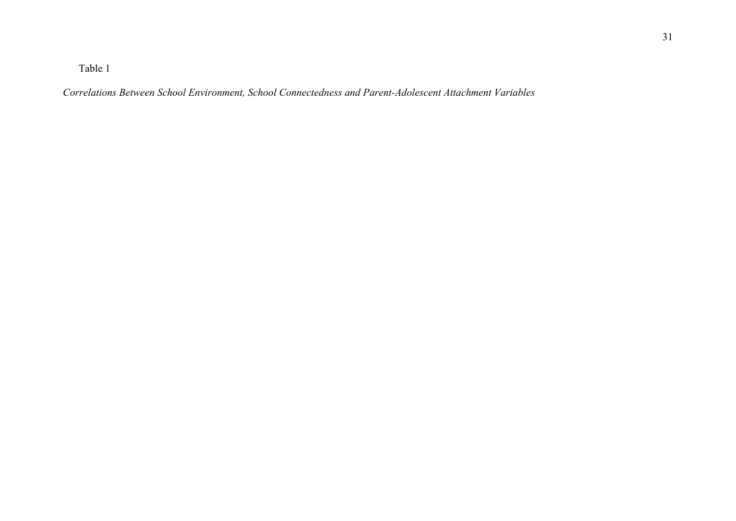Table 1

*Correlations Between School Environment, School Connectedness and Parent-Adolescent Attachment Variables*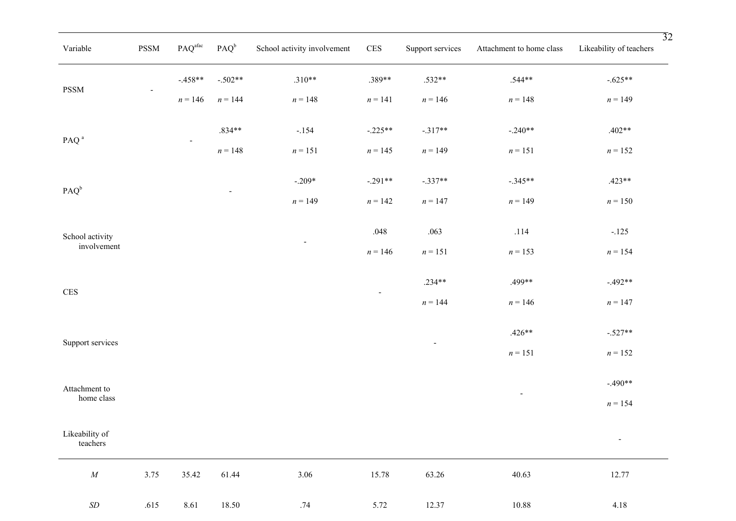| Variable                    | PSSM | $\mathbf{PAQ}^{\text{afac}}$ | $PAQ^b$        | School activity involvement | $\mbox{CES}$             | Support services | Attachment to home class | $\overline{32}$<br>Likeability of teachers |
|-----------------------------|------|------------------------------|----------------|-----------------------------|--------------------------|------------------|--------------------------|--------------------------------------------|
| <b>PSSM</b>                 |      | $-.458**$                    | $-.502**$      | $.310**$                    | .389**                   | $.532**$         | $.544**$                 | $-.625**$                                  |
|                             |      | $n = 146$                    | $n = 144$      | $n = 148$                   | $n=141$                  | $n = 146$        | $n=148$                  | $n = 149$                                  |
| PAQ <sup>a</sup>            |      | $\overline{\phantom{a}}$     | $.834**$       | $-.154$                     | $-.225**$                | $-.317**$        | $-.240**$                | $.402**$                                   |
|                             |      |                              | $n = 148$      | $n = 151$                   | $n = 145$                | $n = 149$        | $n=151$                  | $n = 152$                                  |
| $PAQ^b$<br>School activity  |      |                              | $\blacksquare$ | $-.209*$                    | $-.291**$                | $-.337**$        | $-.345**$                | $.423**$                                   |
|                             |      |                              |                | $n = 149$                   | $n = 142$                | $n = 147$        | $n = 149$                | $n = 150$                                  |
| involvement                 |      |                              |                | $\overline{\phantom{a}}$    | .048                     | .063             | $.114$                   | $-.125$                                    |
|                             |      |                              |                |                             | $n = 146$                | $n = 151$        | $n = 153$                | $n = 154$                                  |
| $\mbox{CES}$                |      |                              |                |                             | $\overline{\phantom{a}}$ | $.234**$         | .499**                   | $-.492**$                                  |
|                             |      |                              |                |                             |                          | $n = 144$        | $n = 146$                | $n = 147$                                  |
| Support services            |      |                              |                |                             |                          | $\sim$           | $.426**$                 | $-.527**$                                  |
|                             |      |                              |                |                             |                          |                  | $n=151$                  | $n=152$                                    |
| Attachment to<br>home class |      |                              |                |                             |                          |                  | $\overline{\phantom{a}}$ | $-.490**$                                  |
|                             |      |                              |                |                             |                          |                  |                          | $n = 154$                                  |
| Likeability of<br>teachers  |      |                              |                |                             |                          |                  |                          | Ξ                                          |
| ${\cal M}$                  | 3.75 | 35.42                        | 61.44          | 3.06                        | 15.78                    | 63.26            | 40.63                    | 12.77                                      |
| $\sqrt{SD}$                 | .615 | 8.61                         | 18.50          | .74                         | 5.72                     | 12.37            | 10.88                    | 4.18                                       |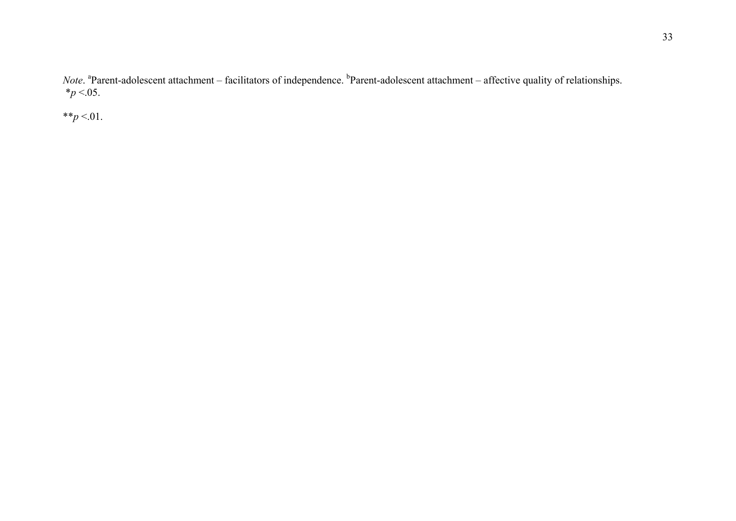*Note*. <sup>a</sup>Parent-adolescent attachment – facilitators of independence. <sup>b</sup>Parent-adolescent attachment – affective quality of relationships.  $*_{p}$  <.05.

\*\* $p$  <.01.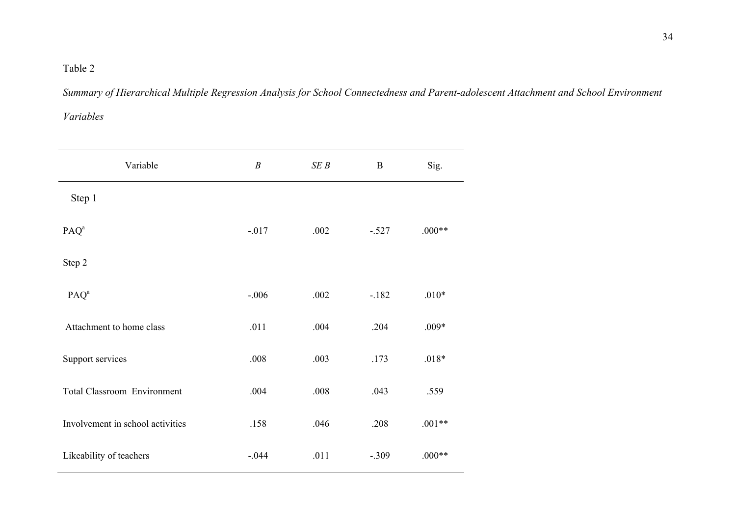### Table 2

*Summary of Hierarchical Multiple Regression Analysis for School Connectedness and Parent-adolescent Attachment and School Environment Variables* 

| Variable                           | $\boldsymbol{B}$ | SEB  | $\mathbf B$ | Sig.     |
|------------------------------------|------------------|------|-------------|----------|
| Step 1                             |                  |      |             |          |
| PAQ <sup>a</sup>                   | $-.017$          | .002 | $-.527$     | $.000**$ |
| Step 2                             |                  |      |             |          |
| PAQ <sup>a</sup>                   | $-.006$          | .002 | $-182$      | $.010*$  |
| Attachment to home class           | .011             | .004 | .204        | $.009*$  |
| Support services                   | .008             | .003 | .173        | $.018*$  |
| <b>Total Classroom Environment</b> | .004             | .008 | .043        | .559     |
| Involvement in school activities   | .158             | .046 | .208        | $.001**$ |
| Likeability of teachers            | $-.044$          | .011 | $-.309$     | $.000**$ |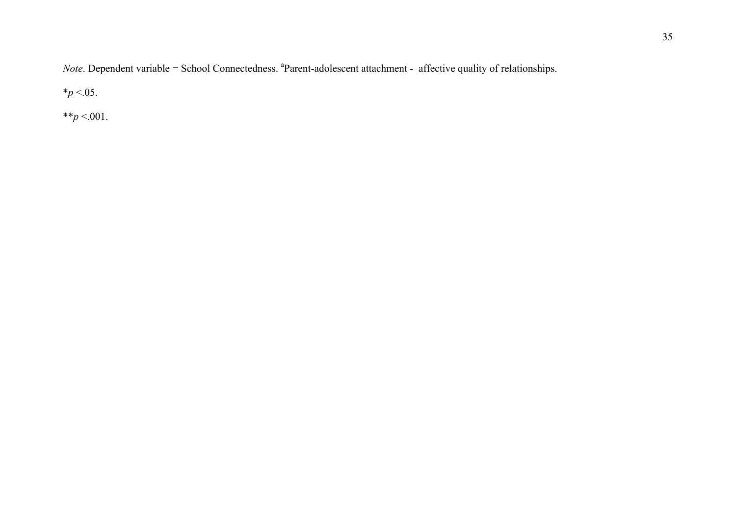*Note*. Dependent variable = School Connectedness. <sup>a</sup>Parent-adolescent attachment - affective quality of relationships.

 $*_{p}$  <.05.

\*\* $p < 001$ .